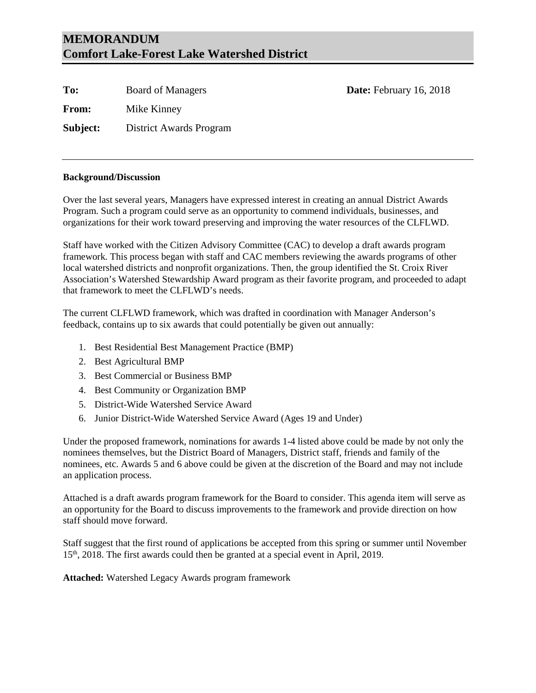# **MEMORANDUM Comfort Lake-Forest Lake Watershed District**

| To:             | <b>Board of Managers</b> | Date: February 16, 2018 |
|-----------------|--------------------------|-------------------------|
| <b>From:</b>    | Mike Kinney              |                         |
| <b>Subject:</b> | District Awards Program  |                         |

#### **Background/Discussion**

Over the last several years, Managers have expressed interest in creating an annual District Awards Program. Such a program could serve as an opportunity to commend individuals, businesses, and organizations for their work toward preserving and improving the water resources of the CLFLWD.

Staff have worked with the Citizen Advisory Committee (CAC) to develop a draft awards program framework. This process began with staff and CAC members reviewing the awards programs of other local watershed districts and nonprofit organizations. Then, the group identified the St. Croix River Association's Watershed Stewardship Award program as their favorite program, and proceeded to adapt that framework to meet the CLFLWD's needs.

The current CLFLWD framework, which was drafted in coordination with Manager Anderson's feedback, contains up to six awards that could potentially be given out annually:

- 1. Best Residential Best Management Practice (BMP)
- 2. Best Agricultural BMP
- 3. Best Commercial or Business BMP
- 4. Best Community or Organization BMP
- 5. District-Wide Watershed Service Award
- 6. Junior District-Wide Watershed Service Award (Ages 19 and Under)

Under the proposed framework, nominations for awards 1-4 listed above could be made by not only the nominees themselves, but the District Board of Managers, District staff, friends and family of the nominees, etc. Awards 5 and 6 above could be given at the discretion of the Board and may not include an application process.

Attached is a draft awards program framework for the Board to consider. This agenda item will serve as an opportunity for the Board to discuss improvements to the framework and provide direction on how staff should move forward.

Staff suggest that the first round of applications be accepted from this spring or summer until November 15th, 2018. The first awards could then be granted at a special event in April, 2019.

**Attached:** Watershed Legacy Awards program framework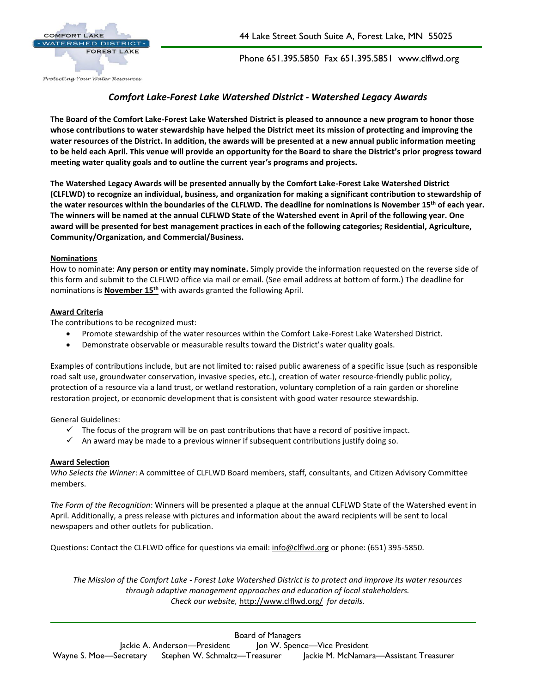

44 Lake Street South Suite A, Forest Lake, MN 55025

Phone 651.395.5850 Fax 651.395.5851 www.clflwd.org

## *Comfort Lake-Forest Lake Watershed District - Watershed Legacy Awards*

**The Board of the Comfort Lake-Forest Lake Watershed District is pleased to announce a new program to honor those whose contributions to water stewardship have helped the District meet its mission of protecting and improving the water resources of the District. In addition, the awards will be presented at a new annual public information meeting to be held each April. This venue will provide an opportunity for the Board to share the District's prior progress toward meeting water quality goals and to outline the current year's programs and projects.**

**The Watershed Legacy Awards will be presented annually by the Comfort Lake-Forest Lake Watershed District (CLFLWD) to recognize an individual, business, and organization for making a significant contribution to stewardship of the water resources within the boundaries of the CLFLWD. The deadline for nominations is November 15th of each year. The winners will be named at the annual CLFLWD State of the Watershed event in April of the following year. One award will be presented for best management practices in each of the following categories; Residential, Agriculture, Community/Organization, and Commercial/Business.**

#### **Nominations**

How to nominate: **Any person or entity may nominate.** Simply provide the information requested on the reverse side of this form and submit to the CLFLWD office via mail or email. (See email address at bottom of form.) The deadline for nominations is **November 15th** with awards granted the following April.

#### **Award Criteria**

The contributions to be recognized must:

- Promote stewardship of the water resources within the Comfort Lake-Forest Lake Watershed District.
- Demonstrate observable or measurable results toward the District's water quality goals.

Examples of contributions include, but are not limited to: raised public awareness of a specific issue (such as responsible road salt use, groundwater conservation, invasive species, etc.), creation of water resource-friendly public policy, protection of a resource via a land trust, or wetland restoration, voluntary completion of a rain garden or shoreline restoration project, or economic development that is consistent with good water resource stewardship.

General Guidelines:

- $\checkmark$  The focus of the program will be on past contributions that have a record of positive impact.
- $\checkmark$  An award may be made to a previous winner if subsequent contributions justify doing so.

#### **Award Selection**

*Who Selects the Winner*: A committee of CLFLWD Board members, staff, consultants, and Citizen Advisory Committee members.

*The Form of the Recognition*: Winners will be presented a plaque at the annual CLFLWD State of the Watershed event in April. Additionally, a press release with pictures and information about the award recipients will be sent to local newspapers and other outlets for publication.

Questions: Contact the CLFLWD office for questions via email: [info@clflwd.org](mailto:info@clflwd.org) or phone: (651) 395-5850.

*The Mission of the Comfort Lake - Forest Lake Watershed District is to protect and improve its water resources through adaptive management approaches and education of local stakeholders. Check our website,* <http://www.clflwd.org/> *for details.*